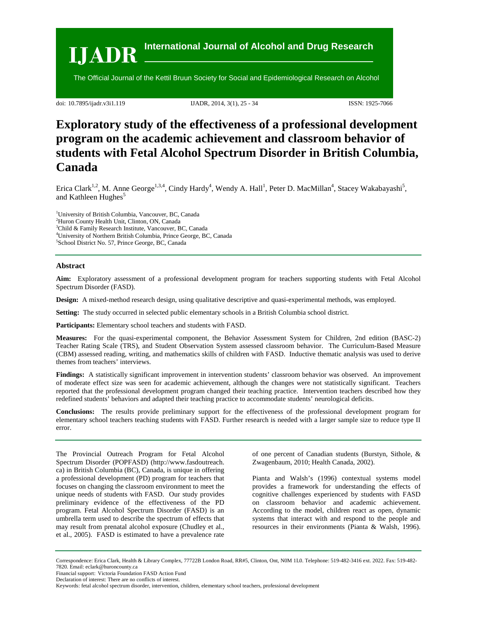

doi: 10.7895/ijadr.v3i1.119 IJADR, 2014, 3(1), 25 - 34 ISSN: 1925-7066

# **Exploratory study of the effectiveness of a professional development program on the academic achievement and classroom behavior of students with Fetal Alcohol Spectrum Disorder in British Columbia, Canada**

Erica Clark<sup>1,2</sup>, M. Anne George<sup>1,3,4</sup>, Cindy Hardy<sup>4</sup>, Wendy A. Hall<sup>1</sup>, Peter D. MacMillan<sup>4</sup>, Stacey Wakabayashi<sup>5</sup>, and Kathleen Hughes<sup>5</sup>

1 University of British Columbia, Vancouver, BC, Canada

<sup>2</sup>Huron County Health Unit, Clinton, ON, Canada<br><sup>3</sup>Child & Family Basearch Institute, Vancouver, B

<sup>3</sup>Child & Family Research Institute, Vancouver, BC, Canada

4 University of Northern British Columbia, Prince George, BC, Canada

5 School District No. 57, Prince George, BC, Canada

### **Abstract**

**Aim:** Exploratory assessment of a professional development program for teachers supporting students with Fetal Alcohol Spectrum Disorder (FASD).

**Design:** A mixed-method research design, using qualitative descriptive and quasi-experimental methods, was employed.

**Setting:** The study occurred in selected public elementary schools in a British Columbia school district.

**Participants:** Elementary school teachers and students with FASD.

**Measures:** For the quasi-experimental component, the Behavior Assessment System for Children, 2nd edition (BASC-2) Teacher Rating Scale (TRS), and Student Observation System assessed classroom behavior. The Curriculum-Based Measure (CBM) assessed reading, writing, and mathematics skills of children with FASD. Inductive thematic analysis was used to derive themes from teachers' interviews.

**Findings:** A statistically significant improvement in intervention students' classroom behavior was observed. An improvement of moderate effect size was seen for academic achievement, although the changes were not statistically significant. Teachers reported that the professional development program changed their teaching practice. Intervention teachers described how they redefined students' behaviors and adapted their teaching practice to accommodate students' neurological deficits.

**Conclusions:** The results provide preliminary support for the effectiveness of the professional development program for elementary school teachers teaching students with FASD. Further research is needed with a larger sample size to reduce type II error.

The Provincial Outreach Program for Fetal Alcohol Spectrum Disorder (POPFASD) (http://www.fasdoutreach. ca) in British Columbia (BC), Canada, is unique in offering a professional development (PD) program for teachers that focuses on changing the classroom environment to meet the unique needs of students with FASD. Our study provides preliminary evidence of the effectiveness of the PD program. Fetal Alcohol Spectrum Disorder (FASD) is an umbrella term used to describe the spectrum of effects that may result from prenatal alcohol exposure (Chudley et al., et al., 2005). FASD is estimated to have a prevalence rate

of one percent of Canadian students (Burstyn, Sithole, & Zwagenbaum, 2010; Health Canada, 2002).

Pianta and Walsh's (1996) contextual systems model provides a framework for understanding the effects of cognitive challenges experienced by students with FASD on classroom behavior and academic achievement. According to the model, children react as open, dynamic systems that interact with and respond to the people and resources in their environments (Pianta & Walsh, 1996).

Correspondence: Erica Clark, Health & Library Complex, 77722B London Road, RR#5, Clinton, Ont, N0M 1L0. Telephone: 519-482-3416 ext. 2022. Fax: 519-482- 7820. Email: eclark@huroncounty.ca

Financial support: Victoria Foundation FASD Action Fund

Declaration of interest: There are no conflicts of interest.

Keywords: fetal alcohol spectrum disorder, intervention, children, elementary school teachers, professional development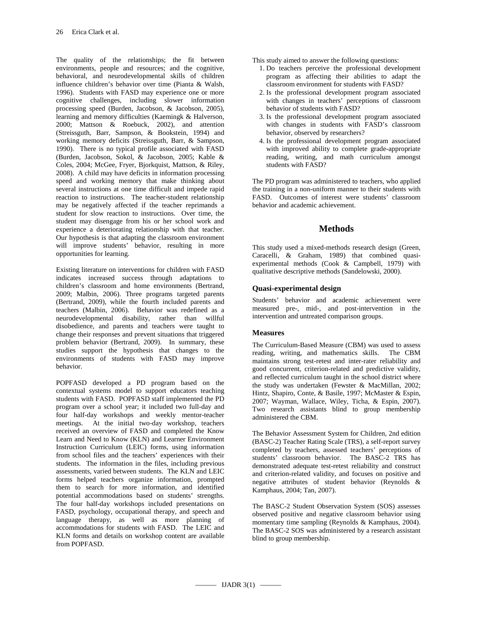The quality of the relationships; the fit between environments, people and resources; and the cognitive, behavioral, and neurodevelopmental skills of children influence children's behavior over time (Pianta & Walsh, 1996). Students with FASD may experience one or more cognitive challenges, including slower information processing speed (Burden, Jacobson, & Jacobson, 2005), learning and memory difficulties (Kaemingk & Halverson, 2000; Mattson & Roebuck, 2002), and attention (Streissguth, Barr, Sampson, & Bookstein, 1994) and working memory deficits (Streissguth, Barr, & Sampson, 1990). There is no typical profile associated with FASD (Burden, Jacobson, Sokol, & Jacobson, 2005; Kable & Coles, 2004; McGee, Fryer, Bjorkquist, Mattson, & Riley, 2008). A child may have deficits in information processing speed and working memory that make thinking about several instructions at one time difficult and impede rapid reaction to instructions. The teacher-student relationship may be negatively affected if the teacher reprimands a student for slow reaction to instructions. Over time, the student may disengage from his or her school work and experience a deteriorating relationship with that teacher. Our hypothesis is that adapting the classroom environment will improve students' behavior, resulting in more opportunities for learning.

Existing literature on interventions for children with FASD indicates increased success through adaptations to children's classroom and home environments (Bertrand, 2009; Malbin, 2006). Three programs targeted parents (Bertrand, 2009), while the fourth included parents and teachers (Malbin, 2006). Behavior was redefined as a neurodevelopmental disability, rather than willful disobedience, and parents and teachers were taught to change their responses and prevent situations that triggered problem behavior (Bertrand, 2009). In summary, these studies support the hypothesis that changes to the environments of students with FASD may improve behavior.

POPFASD developed a PD program based on the contextual systems model to support educators teaching students with FASD. POPFASD staff implemented the PD program over a school year; it included two full-day and four half-day workshops and weekly mentor-teacher meetings. At the initial two-day workshop, teachers received an overview of FASD and completed the Know Learn and Need to Know (KLN) and Learner Environment Instruction Curriculum (LEIC) forms, using information from school files and the teachers' experiences with their students. The information in the files, including previous assessments, varied between students. The KLN and LEIC forms helped teachers organize information, prompted them to search for more information, and identified potential accommodations based on students' strengths. The four half-day workshops included presentations on FASD, psychology, occupational therapy, and speech and language therapy, as well as more planning of accommodations for students with FASD. The LEIC and KLN forms and details on workshop content are available from POPFASD.

This study aimed to answer the following questions:

- 1. Do teachers perceive the professional development program as affecting their abilities to adapt the classroom environment for students with FASD?
- 2. Is the professional development program associated with changes in teachers' perceptions of classroom behavior of students with FASD?
- 3. Is the professional development program associated with changes in students with FASD's classroom behavior, observed by researchers?
- 4. Is the professional development program associated with improved ability to complete grade-appropriate reading, writing, and math curriculum amongst students with FASD?

The PD program was administered to teachers, who applied the training in a non-uniform manner to their students with FASD. Outcomes of interest were students' classroom behavior and academic achievement.

# **Methods**

This study used a mixed-methods research design (Green, Caracelli, & Graham, 1989) that combined quasiexperimental methods (Cook & Campbell, 1979) with qualitative descriptive methods (Sandelowski, 2000).

# **Quasi-experimental design**

Students' behavior and academic achievement were measured pre-, mid-, and post-intervention in the intervention and untreated comparison groups.

### **Measures**

The Curriculum-Based Measure (CBM) was used to assess reading, writing, and mathematics skills. The CBM maintains strong test-retest and inter-rater reliability and good concurrent, criterion-related and predictive validity, and reflected curriculum taught in the school district where the study was undertaken (Fewster & MacMillan, 2002; Hintz, Shapiro, Conte, & Basile, 1997; McMaster & Espin, 2007; Wayman, Wallace, Wiley, Ticha, & Espin, 2007). Two research assistants blind to group membership administered the CBM.

The Behavior Assessment System for Children, 2nd edition (BASC-2) Teacher Rating Scale (TRS), a self-report survey completed by teachers, assessed teachers' perceptions of students' classroom behavior. The BASC-2 TRS has demonstrated adequate test-retest reliability and construct and criterion-related validity, and focuses on positive and negative attributes of student behavior (Reynolds & Kamphaus, 2004; Tan, 2007).

The BASC-2 Student Observation System (SOS) assesses observed positive and negative classroom behavior using momentary time sampling (Reynolds & Kamphaus, 2004). The BASC-2 SOS was administered by a research assistant blind to group membership.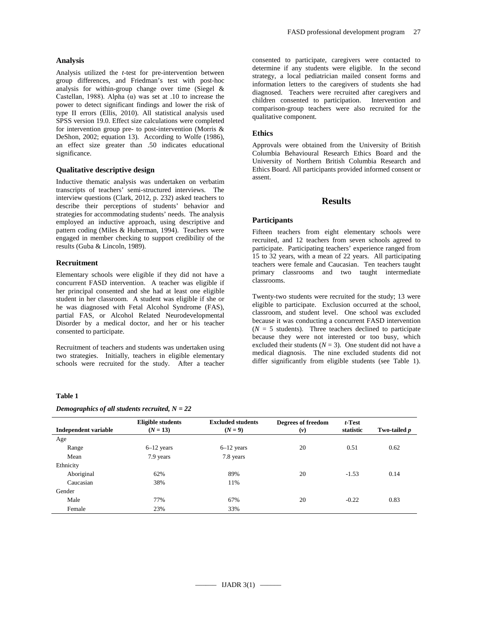### **Analysis**

Analysis utilized the *t*-test for pre-intervention between group differences, and Friedman's test with post-hoc analysis for within-group change over time (Siegel & Castellan, 1988). Alpha (α) was set at .10 to increase the power to detect significant findings and lower the risk of type II errors (Ellis, 2010). All statistical analysis used SPSS version 19.0. Effect size calculations were completed for intervention group pre- to post-intervention (Morris & DeShon, 2002; equation 13). According to Wolfe (1986), an effect size greater than .50 indicates educational significance.

### **Qualitative descriptive design**

Inductive thematic analysis was undertaken on verbatim transcripts of teachers' semi-structured interviews. The interview questions (Clark, 2012, p. 232) asked teachers to describe their perceptions of students' behavior and strategies for accommodating students' needs. The analysis employed an inductive approach, using descriptive and pattern coding (Miles & Huberman, 1994). Teachers were engaged in member checking to support credibility of the results (Guba & Lincoln, 1989).

### **Recruitment**

Elementary schools were eligible if they did not have a concurrent FASD intervention. A teacher was eligible if her principal consented and she had at least one eligible student in her classroom. A student was eligible if she or he was diagnosed with Fetal Alcohol Syndrome (FAS), partial FAS, or Alcohol Related Neurodevelopmental Disorder by a medical doctor, and her or his teacher consented to participate.

Recruitment of teachers and students was undertaken using two strategies. Initially, teachers in eligible elementary schools were recruited for the study. After a teacher

#### **Table 1**

#### *Demographics of all students recruited, N = 22*

consented to participate, caregivers were contacted to determine if any students were eligible. In the second strategy, a local pediatrician mailed consent forms and information letters to the caregivers of students she had diagnosed. Teachers were recruited after caregivers and children consented to participation. Intervention and comparison-group teachers were also recruited for the qualitative component.

#### **Ethics**

Approvals were obtained from the University of British Columbia Behavioural Research Ethics Board and the University of Northern British Columbia Research and Ethics Board. All participants provided informed consent or assent.

# **Results**

#### **Participants**

Fifteen teachers from eight elementary schools were recruited, and 12 teachers from seven schools agreed to participate. Participating teachers' experience ranged from 15 to 32 years, with a mean of 22 years. All participating teachers were female and Caucasian. Ten teachers taught primary classrooms and two taught intermediate classrooms.

Twenty-two students were recruited for the study; 13 were eligible to participate. Exclusion occurred at the school, classroom, and student level. One school was excluded because it was conducting a concurrent FASD intervention  $(N = 5$  students). Three teachers declined to participate because they were not interested or too busy, which excluded their students  $(N = 3)$ . One student did not have a medical diagnosis. The nine excluded students did not differ significantly from eligible students (see Table 1).

| Independent variable | <b>Eligible students</b><br>$(N = 13)$ | <b>Excluded students</b><br>$(N = 9)$ | <b>Degrees of freedom</b><br>$(\nu)$ | $t$ -Test<br>statistic | Two-tailed p |
|----------------------|----------------------------------------|---------------------------------------|--------------------------------------|------------------------|--------------|
| Age                  |                                        |                                       |                                      |                        |              |
| Range                | $6-12$ years                           | $6-12$ years                          | 20                                   | 0.51                   | 0.62         |
| Mean                 | 7.9 years                              | 7.8 years                             |                                      |                        |              |
| Ethnicity            |                                        |                                       |                                      |                        |              |
| Aboriginal           | 62%                                    | 89%                                   | 20                                   | $-1.53$                | 0.14         |
| Caucasian            | 38%                                    | 11%                                   |                                      |                        |              |
| Gender               |                                        |                                       |                                      |                        |              |
| Male                 | 77%                                    | 67%                                   | 20                                   | $-0.22$                | 0.83         |
| Female               | 23%                                    | 33%                                   |                                      |                        |              |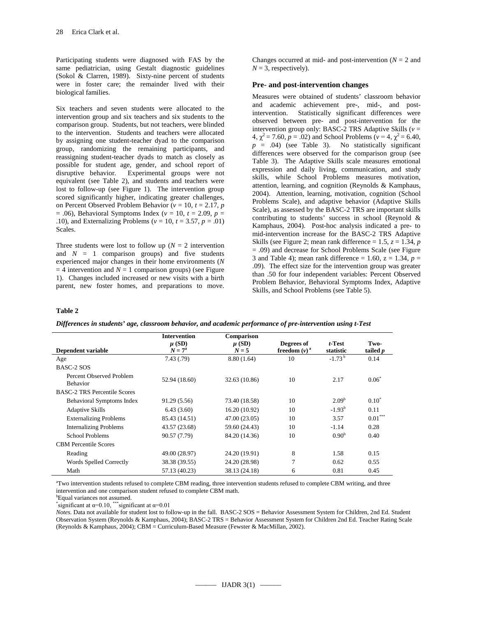Participating students were diagnosed with FAS by the same pediatrician, using Gestalt diagnostic guidelines (Sokol & Clarren, 1989). Sixty-nine percent of students were in foster care; the remainder lived with their biological families.

Six teachers and seven students were allocated to the intervention group and six teachers and six students to the comparison group. Students, but not teachers, were blinded to the intervention. Students and teachers were allocated by assigning one student-teacher dyad to the comparison group, randomizing the remaining participants, and reassigning student-teacher dyads to match as closely as possible for student age, gender, and school report of disruptive behavior. Experimental groups were not equivalent (see Table 2), and students and teachers were lost to follow-up (see Figure 1). The intervention group scored significantly higher, indicating greater challenges, on Percent Observed Problem Behavior ( $v = 10$ ,  $t = 2.17$ , *p* = .06), Behavioral Symptoms Index (*v* = 10, *t* = 2.09, *p* = .10), and Externalizing Problems ( $v = 10$ ,  $t = 3.57$ ,  $p = .01$ ) Scales.

Three students were lost to follow up ( $N = 2$  intervention and  $N = 1$  comparison groups) and five students experienced major changes in their home environments (*N*  $= 4$  intervention and  $N = 1$  comparison groups) (see Figure 1). Changes included increased or new visits with a birth parent, new foster homes, and preparations to move.

Changes occurred at mid- and post-intervention  $(N = 2$  and  $N = 3$ , respectively).

### **Pre- and post-intervention changes**

Measures were obtained of students' classroom behavior and academic achievement pre-, mid-, and postintervention. Statistically significant differences were observed between pre- and post-intervention for the intervention group only: BASC-2 TRS Adaptive Skills (*v* =  $4, \chi^2 = 7.60, p = .02$ ) and School Problems ( $v = 4, \chi^2 = 6.40$ ,  $p = .04$ ) (see Table 3). No statistically significant differences were observed for the comparison group (see Table 3). The Adaptive Skills scale measures emotional expression and daily living, communication, and study skills, while School Problems measures motivation, attention, learning, and cognition (Reynolds & Kamphaus, 2004). Attention, learning, motivation, cognition (School Problems Scale), and adaptive behavior (Adaptive Skills Scale), as assessed by the BASC-2 TRS are important skills contributing to students' success in school (Reynold & Kamphaus, 2004). Post-hoc analysis indicated a pre- to mid-intervention increase for the BASC-2 TRS Adaptive Skills (see Figure 2; mean rank difference  $= 1.5$ ,  $z = 1.34$ , *p* = .09) and decrease for School Problems Scale (see Figure 3 and Table 4); mean rank difference = 1.60,  $z = 1.34$ ,  $p =$ .09). The effect size for the intervention group was greater than .50 for four independent variables: Percent Observed Problem Behavior, Behavioral Symptoms Index, Adaptive Skills, and School Problems (see Table 5).

### **Table 2**

| Differences in students' age, classroom behavior, and academic performance of pre-intervention using t-Test |  |  |  |
|-------------------------------------------------------------------------------------------------------------|--|--|--|
|                                                                                                             |  |  |  |

|                                             | <b>Intervention</b><br>$\mu$ (SD) | Comparison<br>$\mu$ (SD) | Degrees of      | $t$ -Test         | Two-            |
|---------------------------------------------|-----------------------------------|--------------------------|-----------------|-------------------|-----------------|
| Dependent variable                          | $N = 7^{\rm a}$                   | $N=5$                    | freedom $(v)^a$ | statistic         | tailed <i>p</i> |
| Age                                         | 7.43(.79)                         | 8.80(1.64)               | 10              | $-1.73^{b}$       | 0.14            |
| <b>BASC-2 SOS</b>                           |                                   |                          |                 |                   |                 |
| Percent Observed Problem<br><b>Behavior</b> | 52.94 (18.60)                     | 32.63 (10.86)            | 10              | 2.17              | $0.06^*$        |
| <b>BASC-2 TRS Percentile Scores</b>         |                                   |                          |                 |                   |                 |
| Behavioral Symptoms Index                   | 91.29 (5.56)                      | 73.40 (18.58)            | 10              | 2.09 <sup>b</sup> | $0.10^*$        |
| <b>Adaptive Skills</b>                      | 6.43(3.60)                        | 16.20 (10.92)            | 10              | $-1.93^{b}$       | 0.11            |
| <b>Externalizing Problems</b>               | 85.43 (14.51)                     | 47.00 (23.05)            | 10              | 3.57              | $0.01***$       |
| <b>Internalizing Problems</b>               | 43.57 (23.68)                     | 59.60 (24.43)            | 10              | $-1.14$           | 0.28            |
| School Problems                             | 90.57 (7.79)                      | 84.20 (14.36)            | 10              | 0.90 <sup>b</sup> | 0.40            |
| <b>CBM</b> Percentile Scores                |                                   |                          |                 |                   |                 |
| Reading                                     | 49.00 (28.97)                     | 24.20 (19.91)            | 8               | 1.58              | 0.15            |
| Words Spelled Correctly                     | 38.38 (39.55)                     | 24.20 (28.98)            | 7               | 0.62              | 0.55            |
| Math                                        | 57.13 (40.23)                     | 38.13 (24.18)            | 6               | 0.81              | 0.45            |

<sup>a</sup>Two intervention students refused to complete CBM reading, three intervention students refused to complete CBM writing, and three intervention and one comparison student refused to complete CBM math.

<sup>b</sup>Equal variances not assumed.

\*significant at  $\alpha=0.10$ , \*\*\*significant at  $\alpha=0.01$ 

*Notes.* Data not available for student lost to follow-up in the fall. BASC-2 SOS = Behavior Assessment System for Children, 2nd Ed. Student Observation System (Reynolds & Kamphaus, 2004); BASC-2 TRS = Behavior Assessment System for Children 2nd Ed. Teacher Rating Scale (Reynolds & Kamphaus, 2004); CBM = Curriculum-Based Measure (Fewster & MacMillan, 2002).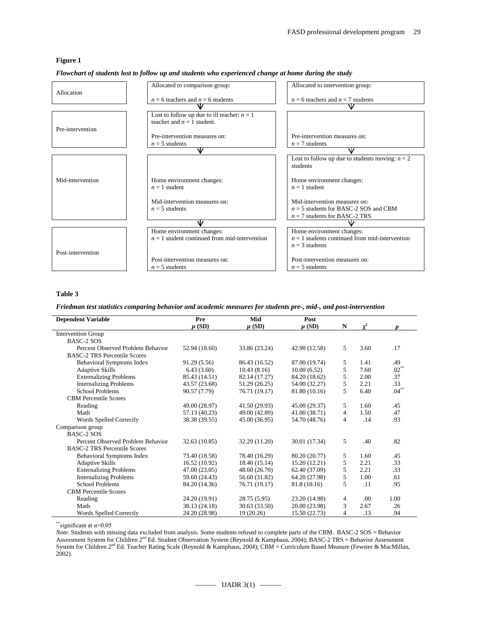# **Figure 1**

|                   | Allocated to comparison group:                  | Allocated to intervention group:                  |
|-------------------|-------------------------------------------------|---------------------------------------------------|
| Allocation        |                                                 |                                                   |
|                   | $n = 6$ teachers and $n = 6$ students           | $n = 6$ teachers and $n = 7$ students             |
|                   |                                                 |                                                   |
|                   | Lost to follow up due to ill teacher: $n = 1$   |                                                   |
|                   | teacher and $n = 1$ student.                    |                                                   |
| Pre-intervention  |                                                 |                                                   |
|                   | Pre-intervention measures on:                   | Pre-intervention measures on:                     |
|                   | $n = 5$ students                                | $n = 7$ students                                  |
|                   | v                                               | ν                                                 |
|                   |                                                 |                                                   |
|                   |                                                 | Lost to follow up due to students moving: $n = 2$ |
|                   |                                                 | students                                          |
|                   |                                                 |                                                   |
| Mid-intervention  | Home environment changes:                       | Home environment changes:                         |
|                   | $n = 1$ student                                 | $n = 1$ student                                   |
|                   |                                                 |                                                   |
|                   | Mid-intervention measures on:                   | Mid-intervention measures on:                     |
|                   | $n = 5$ students                                | $n = 5$ students for BASC-2 SOS and CBM           |
|                   |                                                 | $n = 7$ students for BASC-2 TRS                   |
|                   | ₩                                               | w                                                 |
|                   | Home environment changes:                       | Home environment changes:                         |
|                   | $n = 1$ student continued from mid-intervention | $n = 1$ students continued from mid-intervention  |
|                   |                                                 | $n = 3$ students                                  |
| Post-intervention |                                                 |                                                   |
|                   | Post-intervention measures on:                  | Post-intervention measures on:                    |
|                   |                                                 |                                                   |
|                   | $n = 5$ students                                | $n = 5$ students                                  |

*Flowchart of students lost to follow up and students who experienced change at home during the study*

### **Table 3**

*Friedman test statistics comparing behavior and academic measures for students pre-, mid-, and post-intervention*

| <b>Dependent Variable</b>           | Pre           | Mid           | Post          |   |            |          |
|-------------------------------------|---------------|---------------|---------------|---|------------|----------|
|                                     | $\mu$ (SD)    | $\mu$ (SD)    | $\mu$ (SD)    | N | $\gamma^2$ | n        |
| <b>Intervention Group</b>           |               |               |               |   |            |          |
| <b>BASC-2 SOS</b>                   |               |               |               |   |            |          |
| Percent Observed Problem Behavior   | 52.94 (18.60) | 33.86 (23.24) | 42.90 (12.58) | 5 | 3.60       | .17      |
| <b>BASC-2 TRS Percentile Scores</b> |               |               |               |   |            |          |
| <b>Behavioral Symptoms Index</b>    | 91.29 (5.56)  | 86.43 (16.52) | 87.00 (19.74) | 5 | 1.41       | .49      |
| <b>Adaptive Skills</b>              | 6.43(3.60)    | 10.43(8.16)   | 10.00(6.52)   | 5 | 7.60       | $.02***$ |
| <b>Externalizing Problems</b>       | 85.43 (14.51) | 82.14 (17.27) | 84.20 (18.62) | 5 | 2.00       | .37      |
| <b>Internalizing Problems</b>       | 43.57 (23.68) | 51.29 (26.25) | 54.00 (32.27) | 5 | 2.21       | .33      |
| <b>School Problems</b>              | 90.57 (7.79)  | 76.71 (19.17) | 81.80 (10.16) | 5 | 6.40       | $.04***$ |
| <b>CBM</b> Percentile Scores        |               |               |               |   |            |          |
| Reading                             | 49.00 (28.97) | 41.50 (29.93) | 45.00 (29.37) | 5 | 1.60       | .45      |
| Math                                | 57.13 (40.23) | 49.00 (42.89) | 41.00 (38.71) | 4 | 1.50       | .47      |
| Words Spelled Correctly             | 38.38 (39.55) | 45.00 (36.95) | 54.70 (48.76) | 4 | .14        | .93      |
| Comparison group                    |               |               |               |   |            |          |
| BASC-2 SOS                          |               |               |               |   |            |          |
| Percent Observed Problem Behavior   | 32.63 (10.85) | 32.29 (11.20) | 30.01 (17.34) | 5 | .40        | .82      |
| <b>BASC-2 TRS Percentile Scores</b> |               |               |               |   |            |          |
| <b>Behavioral Symptoms Index</b>    | 73.40 (18.58) | 78.40 (16.29) | 80.20 (20.77) | 5 | 1.60       | .45      |
| <b>Adaptive Skills</b>              | 16.52 (10.92) | 18.40 (15.14) | 15.20 (12.21) | 5 | 2.21       | .33      |
| <b>Externalizing Problems</b>       | 47.00 (23.05) | 48.60 (26.70) | 62.40 (37.09) | 5 | 2.21       | .33      |
| <b>Internalizing Problems</b>       | 59.60 (24.43) | 56.60 (31.82) | 64.20 (27.98) | 5 | 1.00       | .61      |
| School Problems                     | 84.20 (14.36) | 76.71 (19.17) | 81.8 (10.16)  | 5 | .11        | .95      |
| <b>CBM</b> Percentile Scores        |               |               |               |   |            |          |
| Reading                             | 24.20 (19.91) | 28.75 (5.95)  | 23.20 (14.98) | 4 | .00.       | 1.00     |
| Math                                | 38.13 (24.18) | 30.63 (33.50) | 20.00 (23.98) | 3 | 2.67       | .26      |
| Words Spelled Correctly             | 24.20 (28.98) | 19(20.26)     | 15.50 (22.73) | 4 | .13        | .94      |

\*\*significant at  $\alpha$ =0.05

*Note*. Students with missing data excluded from analysis. Some students refused to complete parts of the CBM. BASC-2 SOS = Behavior Assessment System for Children 2<sup>nd</sup> Ed. Student Observation System (Reynold & Kamphaus, 2004); BASC-2 TRS = Behavior Assessment System for Children 2nd Ed. Teacher Rating Scale (Reynold & Kamphaus, 2004); CBM = Curriculum Based Measure (Fewster & MacMillan, 2002).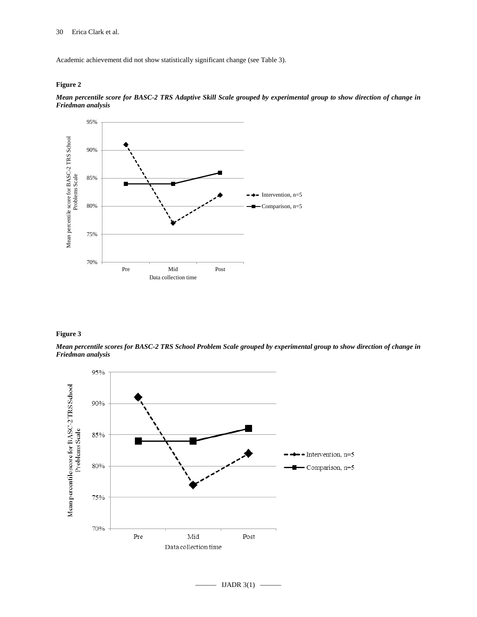Academic achievement did not show statistically significant change (see Table 3).

### **Figure 2**



*Mean percentile score for BASC-2 TRS Adaptive Skill Scale grouped by experimental group to show direction of change in Friedman analysis*

# **Figure 3**

*Mean percentile scores for BASC-2 TRS School Problem Scale grouped by experimental group to show direction of change in Friedman analysis*



 $-$  IJADR 3(1)  $-$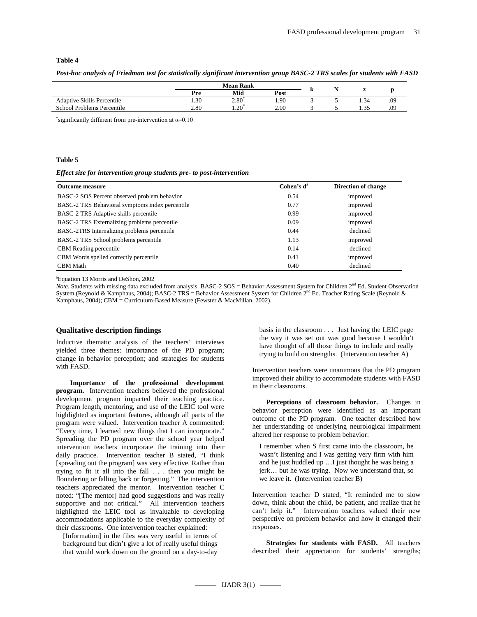### **Table 4**

| Post-hoc analysis of Friedman test for statistically significant intervention group BASC-2 TRS scales for students with FASD |  |  |  |  |
|------------------------------------------------------------------------------------------------------------------------------|--|--|--|--|
|                                                                                                                              |  |  |  |  |

|                                   |      | <b>Mean Rank</b> |      |    |                |     |
|-----------------------------------|------|------------------|------|----|----------------|-----|
|                                   | Pre  | Mid              | Post | л. | $\overline{ }$ |     |
| <b>Adaptive Skills Percentile</b> | 1.30 | 2.80             | 1.90 |    | 1.54           | .09 |
| School Problems Percentile        | 2.80 | $1.20^{\circ}$   | 2.00 |    | 1.35           | .09 |
|                                   |      |                  |      |    |                |     |

\*significantly different from pre-intervention at  $\alpha$ =0.10

#### **Table 5**

#### *Effect size for intervention group students pre- to post-intervention*

| <b>Outcome measure</b>                          | Cohen's d <sup>a</sup> | Direction of change |
|-------------------------------------------------|------------------------|---------------------|
| BASC-2 SOS Percent observed problem behavior    | 0.54                   | improved            |
| BASC-2 TRS Behavioral symptoms index percentile | 0.77                   | improved            |
| BASC-2 TRS Adaptive skills percentile           | 0.99                   | improved            |
| BASC-2 TRS Externalizing problems percentile    | 0.09                   | improved            |
| BASC-2TRS Internalizing problems percentile     | 0.44                   | declined            |
| BASC-2 TRS School problems percentile           | 1.13                   | improved            |
| <b>CBM</b> Reading percentile                   | 0.14                   | declined            |
| CBM Words spelled correctly percentile          | 0.41                   | improved            |
| <b>CBM</b> Math                                 | 0.40                   | declined            |

a Equation 13 Morris and DeShon, 2002

*Note*. Students with missing data excluded from analysis. BASC-2 SOS = Behavior Assessment System for Children 2<sup>nd</sup> Ed. Student Observation System (Reynold & Kamphaus, 2004); BASC-2 TRS = Behavior Assessment System for Children  $2^{nd}$  Ed. Teacher Rating Scale (Reynold & Kamphaus, 2004); CBM = Curriculum-Based Measure (Fewster & MacMillan, 2002).

#### **Qualitative description findings**

Inductive thematic analysis of the teachers' interviews yielded three themes: importance of the PD program; change in behavior perception; and strategies for students with FASD.

**Importance of the professional development program.** Intervention teachers believed the professional development program impacted their teaching practice. Program length, mentoring, and use of the LEIC tool were highlighted as important features, although all parts of the program were valued. Intervention teacher A commented: "Every time, I learned new things that I can incorporate." Spreading the PD program over the school year helped intervention teachers incorporate the training into their daily practice. Intervention teacher B stated, "I think [spreading out the program] was very effective. Rather than trying to fit it all into the fall . . . then you might be floundering or falling back or forgetting." The intervention teachers appreciated the mentor. Intervention teacher C noted: "[The mentor] had good suggestions and was really supportive and not critical." All intervention teachers highlighted the LEIC tool as invaluable to developing accommodations applicable to the everyday complexity of their classrooms. One intervention teacher explained:

[Information] in the files was very useful in terms of background but didn't give a lot of really useful things that would work down on the ground on a day-to-day

basis in the classroom . . . Just having the LEIC page the way it was set out was good because I wouldn't have thought of all those things to include and really trying to build on strengths. (Intervention teacher A)

Intervention teachers were unanimous that the PD program improved their ability to accommodate students with FASD in their classrooms.

**Perceptions of classroom behavior.** Changes in behavior perception were identified as an important outcome of the PD program. One teacher described how her understanding of underlying neurological impairment altered her response to problem behavior:

I remember when S first came into the classroom, he wasn't listening and I was getting very firm with him and he just huddled up …I just thought he was being a jerk… but he was trying. Now we understand that, so we leave it. (Intervention teacher B)

Intervention teacher D stated, "It reminded me to slow down, think about the child, be patient, and realize that he can't help it." Intervention teachers valued their new perspective on problem behavior and how it changed their responses.

**Strategies for students with FASD.** All teachers described their appreciation for students' strengths;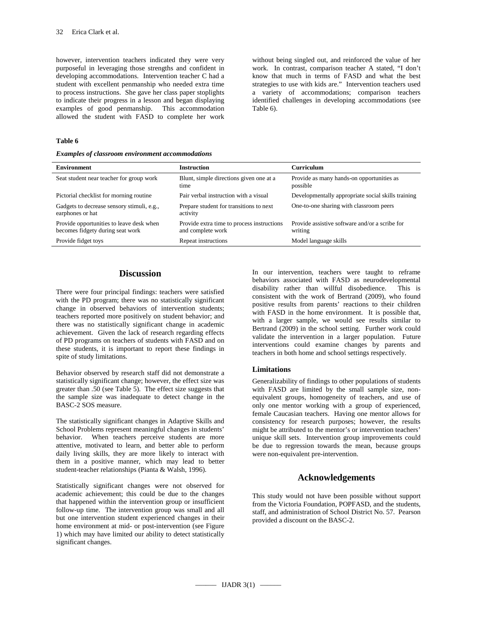however, intervention teachers indicated they were very purposeful in leveraging those strengths and confident in developing accommodations. Intervention teacher C had a student with excellent penmanship who needed extra time to process instructions. She gave her class paper stoplights to indicate their progress in a lesson and began displaying examples of good penmanship. This accommodation allowed the student with FASD to complete her work

without being singled out, and reinforced the value of her work. In contrast, comparison teacher A stated, "I don't know that much in terms of FASD and what the best strategies to use with kids are." Intervention teachers used a variety of accommodations; comparison teachers identified challenges in developing accommodations (see Table 6).

### **Table 6**

|  |  | <b>Examples of classroom environment accommodations</b> |
|--|--|---------------------------------------------------------|
|  |  |                                                         |

| <b>Environment</b>                                                           | <b>Instruction</b>                                              | Curriculum                                                |
|------------------------------------------------------------------------------|-----------------------------------------------------------------|-----------------------------------------------------------|
| Seat student near teacher for group work                                     | Blunt, simple directions given one at a<br>time                 | Provide as many hands-on opportunities as<br>possible     |
| Pictorial checklist for morning routine                                      | Pair verbal instruction with a visual                           | Developmentally appropriate social skills training        |
| Gadgets to decrease sensory stimuli, e.g.,<br>earphones or hat               | Prepare student for transitions to next<br>activity             | One-to-one sharing with classroom peers                   |
| Provide opportunities to leave desk when<br>becomes fidgety during seat work | Provide extra time to process instructions<br>and complete work | Provide assistive software and/or a scribe for<br>writing |
| Provide fidget toys                                                          | Repeat instructions                                             | Model language skills                                     |
|                                                                              |                                                                 |                                                           |

### **Discussion**

There were four principal findings: teachers were satisfied with the PD program; there was no statistically significant change in observed behaviors of intervention students; teachers reported more positively on student behavior; and there was no statistically significant change in academic achievement. Given the lack of research regarding effects of PD programs on teachers of students with FASD and on these students, it is important to report these findings in spite of study limitations.

Behavior observed by research staff did not demonstrate a statistically significant change; however, the effect size was greater than .50 (see Table 5). The effect size suggests that the sample size was inadequate to detect change in the BASC-2 SOS measure.

The statistically significant changes in Adaptive Skills and School Problems represent meaningful changes in students' behavior. When teachers perceive students are more attentive, motivated to learn, and better able to perform daily living skills, they are more likely to interact with them in a positive manner, which may lead to better student-teacher relationships (Pianta & Walsh, 1996).

Statistically significant changes were not observed for academic achievement; this could be due to the changes that happened within the intervention group or insufficient follow-up time. The intervention group was small and all but one intervention student experienced changes in their home environment at mid- or post-intervention (see Figure 1) which may have limited our ability to detect statistically significant changes.

In our intervention, teachers were taught to reframe behaviors associated with FASD as neurodevelopmental disability rather than willful disobedience. This is consistent with the work of Bertrand (2009), who found positive results from parents' reactions to their children with FASD in the home environment. It is possible that, with a larger sample, we would see results similar to Bertrand (2009) in the school setting. Further work could validate the intervention in a larger population. Future interventions could examine changes by parents and teachers in both home and school settings respectively.

#### **Limitations**

Generalizability of findings to other populations of students with FASD are limited by the small sample size, nonequivalent groups, homogeneity of teachers, and use of only one mentor working with a group of experienced, female Caucasian teachers. Having one mentor allows for consistency for research purposes; however, the results might be attributed to the mentor's or intervention teachers' unique skill sets. Intervention group improvements could be due to regression towards the mean, because groups were non-equivalent pre-intervention.

### **Acknowledgements**

This study would not have been possible without support from the Victoria Foundation, POPFASD, and the students, staff, and administration of School District No. 57. Pearson provided a discount on the BASC-2.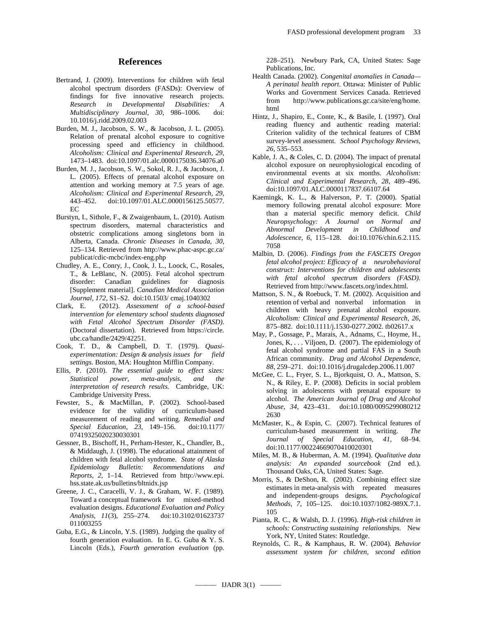# **References**

- Bertrand, J. (2009). Interventions for children with fetal alcohol spectrum disorders (FASDs): Overview of findings for five innovative research projects. *Research in Developmental Disabilities: A Multidisciplinary Journal, 30*, 986–1006. doi: 10.1016/j.ridd.2009.02.003
- Burden, M. J., Jacobson, S. W., & Jacobson, J. L. (2005). Relation of prenatal alcohol exposure to cognitive processing speed and efficiency in childhood. *Alcoholism: Clinical and Experimental Research, 29*, 1473–1483. doi:10.1097/01.alc.0000175036.34076.a0
- Burden, M. J., Jacobson, S. W., Sokol, R. J., & Jacobson, J. L. (2005). Effects of prenatal alcohol exposure on attention and working memory at 7.5 years of age. *Alcoholism: Clinical and Experimental Research, 29*, 443–452. doi:10.1097/01.ALC.0000156125.50577. EC
- Burstyn, I., Sithole, F., & Zwaigenbaum, L. (2010). Autism spectrum disorders, maternal characteristics and obstetric complications among singletons born in Alberta, Canada. *Chronic Diseases in Canada, 30*, 125–134. Retrieved from http://www.phac-aspc.gc.ca/ publicat/cdic-mcbc/index-eng.php
- Chudley, A. E., Conry, J., Cook, J. L., Loock, C., Rosales, T., & LeBlanc, N. (2005). Fetal alcohol spectrum disorder: Canadian guidelines for diagnosis [Supplement material]. *Canadian Medical Association Journal, 172*, S1–S2. doi:10.1503/ cmaj.1040302
- Clark, E. (2012). *Assessment of a school-based intervention for elementary school students diagnosed with Fetal Alcohol Spectrum Disorder (FASD)*. (Doctoral dissertation). Retrieved from [https://circle.](https://circle/) ubc.ca/handle/2429/42251.
- Cook, T. D., & Campbell, D. T. (1979). *Quasiexperimentation: Design & analysis issues for field settings*. Boston, MA: Houghton Mifflin Company.
- Ellis, P. (2010). *The essential guide to effect sizes: Statistical power, meta-analysis, and the interpretation of research results.* Cambridge, UK: Cambridge University Press.
- Fewster, S., & MacMillan, P. (2002). School-based evidence for the validity of curriculum-based measurement of reading and writing. *Remedial and Special Education, 23*, 149–156. doi:10.1177/ 07419325020230030301
- Gessner, B., Bischoff, H., Perham-Hester, K., Chandler, B., & Middaugh, J. (1998). The educational attainment of children with fetal alcohol syndrome. *State of Alaska Epidemiology Bulletin: Recommendations and Reports, 2*, 1–14. Retrieved from [http://www.epi.](http://www.epi/) hss.state.ak.us/bulletins/bltnidx.jsp
- Greene, J. C., Caracelli, V. J., & Graham, W. F. (1989). Toward a conceptual framework for mixed-method evaluation designs. *Educational Evaluation and Policy Analysis, 11*(3), 255–274. doi:10.3102/01623737 011003255
- Guba, E.G., & Lincoln, Y.S. (1989). Judging the quality of fourth generation evaluation. In E. G. Guba & Y. S. Lincoln (Eds.), *Fourth generation evaluation* (pp.

228–251). Newbury Park, CA, United States: Sage Publications, Inc.

- Health Canada. (2002). *Congenital anomalies in Canada— A perinatal health report*. Ottawa: Minister of Public Works and Government Services Canada. Retrieved from [http://www.publications.gc.ca/site/eng/home.](http://www.publications.gc.ca/site/eng/home) html
- Hintz, J., Shapiro, E., Conte, K., & Basile, I. (1997). Oral reading fluency and authentic reading material: Criterion validity of the technical features of CBM survey-level assessment. *School Psychology Reviews, 26,* 535–553.
- Kable, J. A., & Coles, C. D. (2004). The impact of prenatal alcohol exposure on neurophysiological encoding of environmental events at six months. *Alcoholism: Clinical and Experimental Research, 28*, 489–496. doi:10.1097/01.ALC.0000117837.66107.64
- Kaemingk, K. L., & Halverson, P. T. (2000). Spatial memory following prenatal alcohol exposure: More than a material specific memory deficit. *Child Neuropsychology: A Journal on Normal and Abnormal Development in Childhood and Adolescence, 6*, 115–128. doi:10.1076/chin.6.2.115. 7058
- Malbin, D. (2006). *Findings from the FASCETS Oregon fetal alcohol project: Efficacy of a neurobehavioral construct: Interventions for children and adolescents with fetal alcohol spectrum disorders (FASD).*  Retrieved from http://www.fascets.org/index.html.
- Mattson, S. N., & Roebuck, T. M. (2002). Acquisition and retention of verbal and nonverbal information in children with heavy prenatal alcohol exposure. *Alcoholism: Clinical and Experimental Research, 26*, 875–882. doi:10.1111/j.1530-0277.2002. tb02617.x
- May, P., Gossage, P., Marais, A., Adnams, C., Hoyme, H., Jones, K, . . . Viljoen, D. (2007). The epidemiology of fetal alcohol syndrome and partial FAS in a South African community. *Drug and Alcohol Dependence, 88*, 259–271. doi:10.1016/j.drugalcdep.2006.11.007
- McGee, C. L., Fryer, S. L., Bjorkquist, O. A., Mattson, S. N., & Riley, E. P. (2008). Deficits in social problem solving in adolescents with prenatal exposure to alcohol. *The American Journal of Drug and Alcohol Abuse, 34*, 423–431. doi:10.1080/0095299080212 2630
- McMaster, K., & Espin, C. (2007). Technical features of curriculum-based measurement in writing. *The Journal of Special Education, 41,* 68–94. doi:10.1177/00224669070410020301
- Miles, M. B., & Huberman, A. M. (1994). *Qualitative data analysis: An expanded sourcebook* (2nd ed.). Thousand Oaks, CA, United States: Sage.
- Morris, S., & DeShon, R. (2002). Combining effect size estimates in meta-analysis with repeated measures and independent-groups designs. *Psychological Methods, 7*, 105–125. doi:10.1037/1082-989X.7.1. 105
- Pianta, R. C., & Walsh, D. J. (1996). *High-risk children in schools: Constructing sustaining relationships*. New York, NY, United States: Routledge.
- Reynolds, C. R., & Kamphaus, R. W. (2004). *Behavior assessment system for children, second edition*